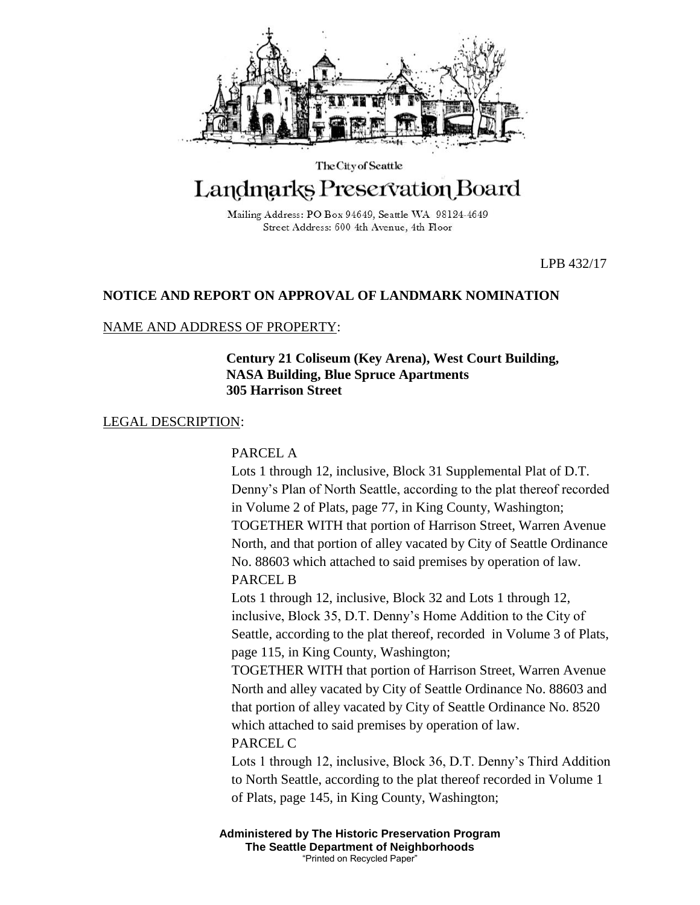

The City of Seattle

# Landmarks Preservation Board

Mailing Address: PO Box 94649, Seattle WA 98124-4649 Street Address: 600 4th Avenue, 4th Floor

LPB 432/17

## **NOTICE AND REPORT ON APPROVAL OF LANDMARK NOMINATION**

## NAME AND ADDRESS OF PROPERTY:

**Century 21 Coliseum (Key Arena), West Court Building, NASA Building, Blue Spruce Apartments 305 Harrison Street**

## LEGAL DESCRIPTION:

## PARCEL A

Lots 1 through 12, inclusive, Block 31 Supplemental Plat of D.T. Denny's Plan of North Seattle, according to the plat thereof recorded in Volume 2 of Plats, page 77, in King County, Washington; TOGETHER WITH that portion of Harrison Street, Warren Avenue North, and that portion of alley vacated by City of Seattle Ordinance No. 88603 which attached to said premises by operation of law. PARCEL B

Lots 1 through 12, inclusive, Block 32 and Lots 1 through 12, inclusive, Block 35, D.T. Denny's Home Addition to the City of Seattle, according to the plat thereof, recorded in Volume 3 of Plats, page 115, in King County, Washington;

TOGETHER WITH that portion of Harrison Street, Warren Avenue North and alley vacated by City of Seattle Ordinance No. 88603 and that portion of alley vacated by City of Seattle Ordinance No. 8520 which attached to said premises by operation of law. PARCEL C

Lots 1 through 12, inclusive, Block 36, D.T. Denny's Third Addition to North Seattle, according to the plat thereof recorded in Volume 1 of Plats, page 145, in King County, Washington;

**Administered by The Historic Preservation Program The Seattle Department of Neighborhoods** "Printed on Recycled Paper"